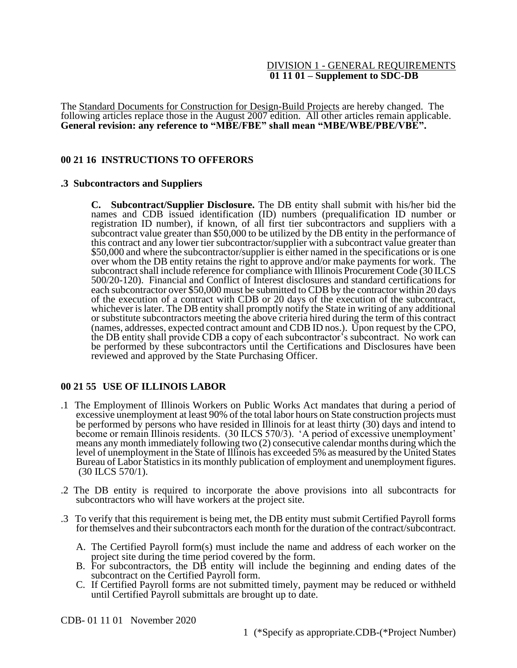#### DIVISION 1 - GENERAL REQUIREMENTS **01 11 01 – Supplement to SDC-DB**

The Standard Documents for Construction for Design-Build Projects are hereby changed. The following articles replace those in the August 2007 edition. All other articles remain applicable. **General revision: any reference to "MBE/FBE" shall mean "MBE/WBE/PBE/VBE".**

### **00 21 16 INSTRUCTIONS TO OFFERORS**

#### **.3 Subcontractors and Suppliers**

**C. Subcontract/Supplier Disclosure.** The DB entity shall submit with his/her bid the names and CDB issued identification (ID) numbers (prequalification ID number or registration ID number), if known, of all first tier subcontractors and suppliers with a subcontract value greater than \$50,000 to be utilized by the DB entity in the performance of this contract and any lower tier subcontractor/supplier with a subcontract value greater than \$50,000 and where the subcontractor/supplier is either named in the specifications or is one over whom the DB entity retains the right to approve and/or make payments for work. The subcontract shall include reference for compliance with Illinois Procurement Code (30 ILCS 500/20-120). Financial and Conflict of Interest disclosures and standard certifications for each subcontractor over \$50,000 must be submitted to CDB by the contractor within 20 days of the execution of a contract with CDB or 20 days of the execution of the subcontract, whichever is later. The DB entity shall promptly notify the State in writing of any additional or substitute subcontractors meeting the above criteria hired during the term of this contract (names, addresses, expected contract amount and CDB ID nos.). Upon request by the CPO, the DB entity shall provide CDB a copy of each subcontractor's subcontract. No work can be performed by these subcontractors until the Certifications and Disclosures have been reviewed and approved by the State Purchasing Officer.

#### **00 21 55 USE OF ILLINOIS LABOR**

- .1 The Employment of Illinois Workers on Public Works Act mandates that during a period of excessive unemployment at least 90% of the total labor hours on State construction projects must be performed by persons who have resided in Illinois for at least thirty (30) days and intend to become or remain Illinois residents. (30 ILCS 570/3). 'A period of excessive unemployment' means any month immediately following two (2) consecutive calendar months during which the level of unemployment in the State of Illinois has exceeded 5% as measured by the United States Bureau of Labor Statistics in its monthly publication of employment and unemployment figures. (30 ILCS 570/1).
- .2 The DB entity is required to incorporate the above provisions into all subcontracts for subcontractors who will have workers at the project site.
- .3 To verify that this requirement is being met, the DB entity must submit Certified Payroll forms for themselves and their subcontractors each month for the duration of the contract/subcontract.
	- A. The Certified Payroll form(s) must include the name and address of each worker on the project site during the time period covered by the form.
	- B. For subcontractors, the DB entity will include the beginning and ending dates of the subcontract on the Certified Payroll form.
	- C. If Certified Payroll forms are not submitted timely, payment may be reduced or withheld until Certified Payroll submittals are brought up to date.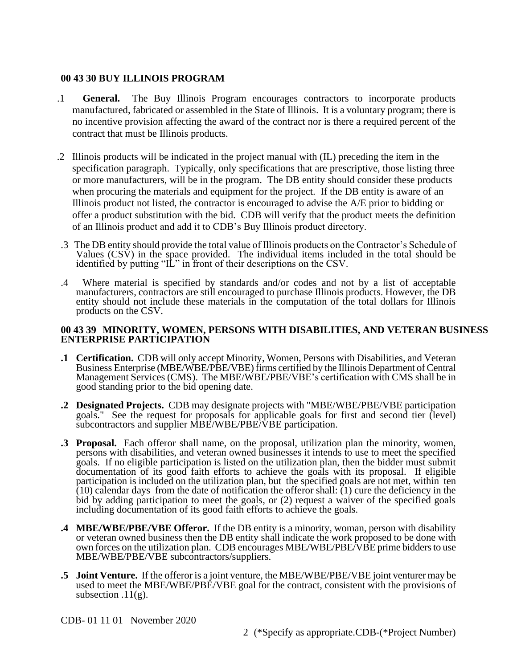### **00 43 30 BUY ILLINOIS PROGRAM**

- .1 **General.** The Buy Illinois Program encourages contractors to incorporate products manufactured, fabricated or assembled in the State of Illinois. It is a voluntary program; there is no incentive provision affecting the award of the contract nor is there a required percent of the contract that must be Illinois products.
- .2 Illinois products will be indicated in the project manual with (IL) preceding the item in the specification paragraph. Typically, only specifications that are prescriptive, those listing three or more manufacturers, will be in the program. The DB entity should consider these products when procuring the materials and equipment for the project. If the DB entity is aware of an Illinois product not listed, the contractor is encouraged to advise the A/E prior to bidding or offer a product substitution with the bid. CDB will verify that the product meets the definition of an Illinois product and add it to CDB's Buy Illinois product directory.
- .3 The DB entity should provide the total value of Illinois products on the Contractor's Schedule of Values  $(CS\dot{V})$  in the space provided. The individual items included in the total should be identified by putting "IL" in front of their descriptions on the CSV.
- .4 Where material is specified by standards and/or codes and not by a list of acceptable manufacturers, contractors are still encouraged to purchase Illinois products. However, the DB entity should not include these materials in the computation of the total dollars for Illinois products on the CSV.

#### **00 43 39 MINORITY, WOMEN, PERSONS WITH DISABILITIES, AND VETERAN BUSINESS ENTERPRISE PARTICIPATION**

- **.1 Certification.** CDB will only accept Minority, Women, Persons with Disabilities, and Veteran Business Enterprise (MBE/WBE/PBE/VBE) firms certified by the Illinois Department of Central Management Services (CMS). The MBE/WBE/PBE/VBE's certification with CMS shall be in good standing prior to the bid opening date.
- **.2 Designated Projects.** CDB may designate projects with "MBE/WBE/PBE/VBE participation goals." See the request for proposals for applicable goals for first and second tier (level) subcontractors and supplier MBE/WBE/PBE/VBE participation.
- **.3 Proposal.** Each offeror shall name, on the proposal, utilization plan the minority, women, persons with disabilities, and veteran owned businesses it intends to use to meet the specified goals. If no eligible participation is listed on the utilization plan, then the bidder must submit documentation of its good faith efforts to achieve the goals with its proposal. If eligible participation is included on the utilization plan, but the specified goals are not met, within ten  $(10)$  calendar days from the date of notification the offeror shall:  $(1)$  cure the deficiency in the bid by adding participation to meet the goals, or (2) request a waiver of the specified goals including documentation of its good faith efforts to achieve the goals.
- **.4 MBE/WBE/PBE/VBE Offeror.** If the DB entity is a minority, woman, person with disability or veteran owned business then the DB entity shall indicate the work proposed to be done with own forces on the utilization plan. CDB encourages MBE/WBE/PBE/VBE prime bidders to use MBE/WBE/PBE/VBE subcontractors/suppliers.
- **.5 Joint Venture.** If the offeror is a joint venture, the MBE/WBE/PBE/VBE joint venturer may be used to meet the MBE/WBE/PBE/VBE goal for the contract, consistent with the provisions of subsection  $.11(g)$ .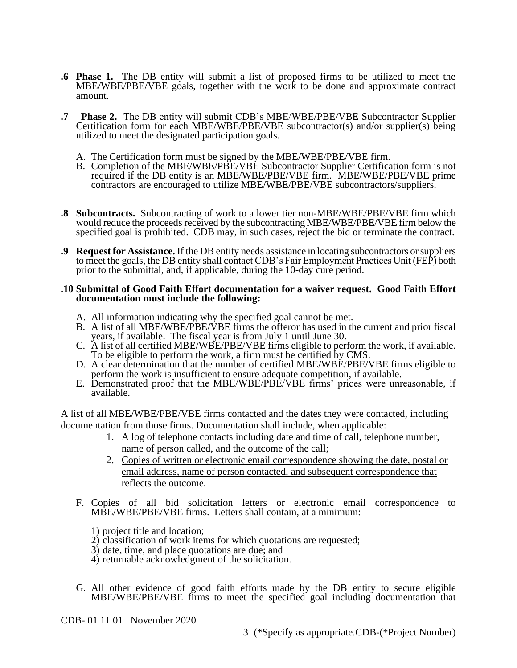- **.6 Phase 1.** The DB entity will submit a list of proposed firms to be utilized to meet the MBE/WBE/PBE/VBE goals, together with the work to be done and approximate contract amount.
- **.7 Phase 2.** The DB entity will submit CDB's MBE/WBE/PBE/VBE Subcontractor Supplier Certification form for each MBE/WBE/PBE/VBE subcontractor(s) and/or supplier(s) being utilized to meet the designated participation goals.
	- A. The Certification form must be signed by the MBE/WBE/PBE/VBE firm.
	- B. Completion of the MBE/WBE/PBE/VBE Subcontractor Supplier Certification form is not required if the DB entity is an MBE/WBE/PBE/VBE firm. MBE/WBE/PBE/VBE prime contractors are encouraged to utilize MBE/WBE/PBE/VBE subcontractors/suppliers.
- **.8 Subcontracts.** Subcontracting of work to a lower tier non-MBE/WBE/PBE/VBE firm which would reduce the proceeds received by the subcontracting MBE/WBE/PBE/VBE firm below the specified goal is prohibited. CDB may, in such cases, reject the bid or terminate the contract.
- **.9 Request for Assistance.** If the DB entity needs assistance in locating subcontractors or suppliers to meet the goals, the DB entity shall contact CDB's Fair Employment Practices Unit (FEP) both prior to the submittal, and, if applicable, during the 10-day cure period.

#### **.10 Submittal of Good Faith Effort documentation for a waiver request. Good Faith Effort documentation must include the following:**

- A. All information indicating why the specified goal cannot be met.
- B. A list of all MBE/WBE/PBE/VBE firms the offeror has used in the current and prior fiscal years, if available. The fiscal year is from July 1 until June 30.
- C. A list of all certified MBE/WBE/PBE/VBE firms eligible to perform the work, if available. To be eligible to perform the work, a firm must be certified by CMS.
- D. A clear determination that the number of certified MBE/WBE/PBE/VBE firms eligible to perform the work is insufficient to ensure adequate competition, if available.
- E. Demonstrated proof that the MBE/WBE/PBE/VBE firms' prices were unreasonable, if available.

A list of all MBE/WBE/PBE/VBE firms contacted and the dates they were contacted, including documentation from those firms. Documentation shall include, when applicable:

- 1. A log of telephone contacts including date and time of call, telephone number, name of person called, and the outcome of the call;
- 2. Copies of written or electronic email correspondence showing the date, postal or email address, name of person contacted, and subsequent correspondence that reflects the outcome.
- F. Copies of all bid solicitation letters or electronic email correspondence to MBE/WBE/PBE/VBE firms. Letters shall contain, at a minimum:
	- 1) project title and location;
	- 2) classification of work items for which quotations are requested;
	- 3) date, time, and place quotations are due; and
	- 4) returnable acknowledgment of the solicitation.
- G. All other evidence of good faith efforts made by the DB entity to secure eligible MBE/WBE/PBE/VBE firms to meet the specified goal including documentation that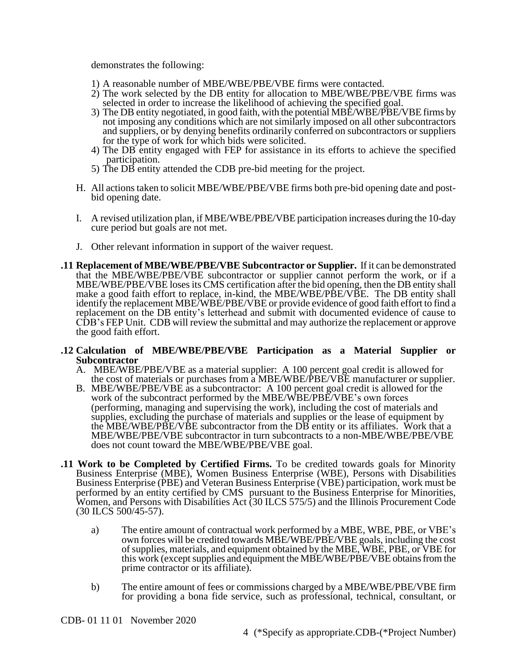demonstrates the following:

- 1) A reasonable number of MBE/WBE/PBE/VBE firms were contacted.
- 2) The work selected by the DB entity for allocation to MBE/WBE/PBE/VBE firms was selected in order to increase the likelihood of achieving the specified goal.
- 3) The DB entity negotiated, in good faith, with the potential MBE/WBE/PBE/VBE firms by not imposing any conditions which are not similarly imposed on all other subcontractors and suppliers, or by denying benefits ordinarily conferred on subcontractors or suppliers for the type of work for which bids were solicited.
- 4) The DB entity engaged with FEP for assistance in its efforts to achieve the specified participation.
- 5) The DB entity attended the CDB pre-bid meeting for the project.
- H. All actions taken to solicit MBE/WBE/PBE/VBE firms both pre-bid opening date and postbid opening date.
- I. A revised utilization plan, if MBE/WBE/PBE/VBE participation increases during the 10-day cure period but goals are not met.
- J. Other relevant information in support of the waiver request.
- **.11 Replacement of MBE/WBE/PBE/VBE Subcontractor or Supplier.** If it can be demonstrated that the MBE/WBE/PBE/VBE subcontractor or supplier cannot perform the work, or if a MBE/WBE/PBE/VBE loses its CMS certification after the bid opening, then the DB entity shall make a good faith effort to replace, in-kind, the MBE/WBE/PBE/VBE. The DB entity shall identify the replacement MBE/WBE/PBE/VBE or provide evidence of good faith effort to find a replacement on the DB entity's letterhead and submit with documented evidence of cause to CDB's FEP Unit. CDB will review the submittal and may authorize the replacement or approve the good faith effort.

#### **.12 Calculation of MBE/WBE/PBE/VBE Participation as a Material Supplier or Subcontractor**

- A. MBE/WBE/PBE/VBE as a material supplier: A 100 percent goal credit is allowed for the cost of materials or purchases from a MBE/WBE/PBE/VBE manufacturer or supplier.
- B. MBE/WBE/PBE/VBE as a subcontractor: A 100 percent goal credit is allowed for the work of the subcontract performed by the MBE/WBE/PBE/VBE's own forces (performing, managing and supervising the work), including the cost of materials and supplies, excluding the purchase of materials and supplies or the lease of equipment by the MBE/WBE/PBE/VBE subcontractor from the DB entity or its affiliates. Work that a MBE/WBE/PBE/VBE subcontractor in turn subcontracts to a non-MBE/WBE/PBE/VBE does not count toward the MBE/WBE/PBE/VBE goal.
- **.11 Work to be Completed by Certified Firms.** To be credited towards goals for Minority Business Enterprise (MBE), Women Business Enterprise (WBE), Persons with Disabilities Business Enterprise (PBE) and Veteran Business Enterprise (VBE) participation, work must be performed by an entity certified by CMS pursuant to the Business Enterprise for Minorities, Women, and Persons with Disabilities Act (30 ILCS 575/5) and the Illinois Procurement Code (30 ILCS 500/45-57).
	- a) The entire amount of contractual work performed by a MBE, WBE, PBE, or VBE's own forces will be credited towards MBE/WBE/PBE/VBE goals, including the cost of supplies, materials, and equipment obtained by the MBE, WBE, PBE, or VBE for this work (except supplies and equipment the MBE/WBE/PBE/VBE obtains from the prime contractor or its affiliate).
	- b) The entire amount of fees or commissions charged by a MBE/WBE/PBE/VBE firm for providing a bona fide service, such as professional, technical, consultant, or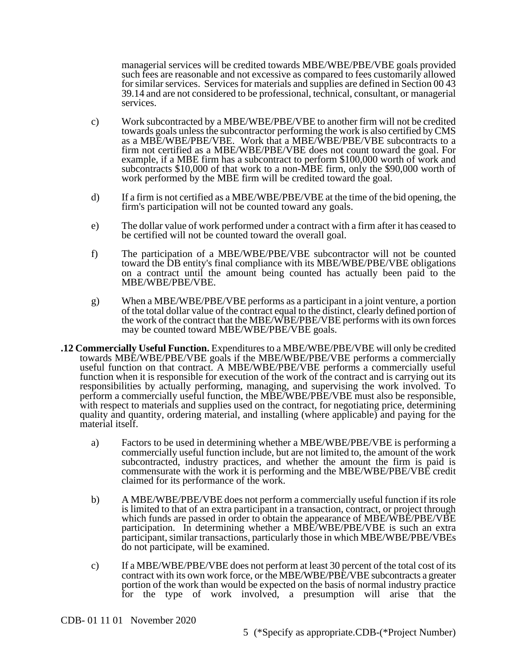managerial services will be credited towards MBE/WBE/PBE/VBE goals provided such fees are reasonable and not excessive as compared to fees customarily allowed for similar services. Services for materials and supplies are defined in Section 00 43 39.14 and are not considered to be professional, technical, consultant, or managerial services.

- c) Work subcontracted by a MBE/WBE/PBE/VBE to another firm will not be credited towards goals unless the subcontractor performing the work is also certified by CMS as a MBE/WBE/PBE/VBE. Work that a MBE/WBE/PBE/VBE subcontracts to a firm not certified as a MBE/WBE/PBE/VBE does not count toward the goal. For example, if a MBE firm has a subcontract to perform \$100,000 worth of work and subcontracts \$10,000 of that work to a non-MBE firm, only the \$90,000 worth of work performed by the MBE firm will be credited toward the goal.
- d) If a firm is not certified as a MBE/WBE/PBE/VBE at the time of the bid opening, the firm's participation will not be counted toward any goals.
- e) The dollar value of work performed under a contract with a firm after it has ceased to be certified will not be counted toward the overall goal.
- f) The participation of a MBE/WBE/PBE/VBE subcontractor will not be counted toward the DB entity's final compliance with its MBE/WBE/PBE/VBE obligations on a contract until the amount being counted has actually been paid to the MBE/WBE/PBE/VBE.
- g) When a MBE/WBE/PBE/VBE performs as a participant in a joint venture, a portion of the total dollar value of the contract equal to the distinct, clearly defined portion of the work of the contract that the MBE/WBE/PBE/VBE performs with its own forces may be counted toward MBE/WBE/PBE/VBE goals.
- **.12 Commercially Useful Function.** Expenditures to a MBE/WBE/PBE/VBE will only be credited towards MBE/WBE/PBE/VBE goals if the MBE/WBE/PBE/VBE performs a commercially useful function on that contract. A MBE/WBE/PBE/VBE performs a commercially useful function when it is responsible for execution of the work of the contract and is carrying out its responsibilities by actually performing, managing, and supervising the work involved. To perform a commercially useful function, the MBE/WBE/PBE/VBE must also be responsible, with respect to materials and supplies used on the contract, for negotiating price, determining quality and quantity, ordering material, and installing (where applicable) and paying for the material itself.
	- a) Factors to be used in determining whether a MBE/WBE/PBE/VBE is performing a commercially useful function include, but are not limited to, the amount of the work subcontracted, industry practices, and whether the amount the firm is paid is commensurate with the work it is performing and the MBE/WBE/PBE/VBE credit claimed for its performance of the work.
	- b) A MBE/WBE/PBE/VBE does not perform a commercially useful function if its role is limited to that of an extra participant in a transaction, contract, or project through which funds are passed in order to obtain the appearance of MBE/WBE/PBE/VBE participation. In determining whether a MBE/WBE/PBE/VBE is such an extra participant, similar transactions, particularly those in which MBE/WBE/PBE/VBEs do not participate, will be examined.
	- c) If a MBE/WBE/PBE/VBE does not perform at least 30 percent of the total cost of its contract with its own work force, or the MBE/WBE/PBE/VBE subcontracts a greater portion of the work than would be expected on the basis of normal industry practice for the type of work involved, a presumption will arise that the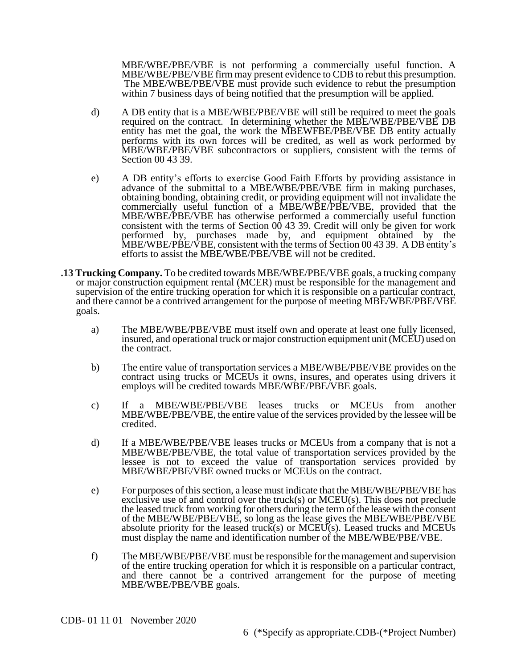MBE/WBE/PBE/VBE is not performing a commercially useful function. A MBE/WBE/PBE/VBE firm may present evidence to CDB to rebut this presumption. The MBE/WBE/PBE/VBE must provide such evidence to rebut the presumption within 7 business days of being notified that the presumption will be applied.

- d) A DB entity that is a MBE/WBE/PBE/VBE will still be required to meet the goals required on the contract. In determining whether the MBE/WBE/PBE/VBE DB entity has met the goal, the work the MBEWFBE/PBE/VBE DB entity actually performs with its own forces will be credited, as well as work performed by MBE/WBE/PBE/VBE subcontractors or suppliers, consistent with the terms of Section 00 43 39.
- e) A DB entity's efforts to exercise Good Faith Efforts by providing assistance in advance of the submittal to a MBE/WBE/PBE/VBE firm in making purchases, obtaining bonding, obtaining credit, or providing equipment will not invalidate the commercially useful function of a MBE/WBE/PBE/VBE, provided that the MBE/WBE/PBE/VBE has otherwise performed a commercially useful function consistent with the terms of Section 00 43 39. Credit will only be given for work performed by, purchases made by, and equipment obtained by the MBE/WBE/PBE/VBE, consistent with the terms of Section 00 43 39. A DB entity's efforts to assist the MBE/WBE/PBE/VBE will not be credited.
- **.13 Trucking Company.** To be credited towards MBE/WBE/PBE/VBE goals, a trucking company or major construction equipment rental (MCER) must be responsible for the management and supervision of the entire trucking operation for which it is responsible on a particular contract, and there cannot be a contrived arrangement for the purpose of meeting MBE/WBE/PBE/VBE goals.
	- a) The MBE/WBE/PBE/VBE must itself own and operate at least one fully licensed, insured, and operational truck or major construction equipment unit (MCEU) used on the contract.
	- b) The entire value of transportation services a MBE/WBE/PBE/VBE provides on the contract using trucks or MCEUs it owns, insures, and operates using drivers it employs will be credited towards MBE/WBE/PBE/VBE goals.
	- c) If a MBE/WBE/PBE/VBE leases trucks or MCEUs from another MBE/WBE/PBE/VBE, the entire value of the services provided by the lessee will be credited.
	- d) If a MBE/WBE/PBE/VBE leases trucks or MCEUs from a company that is not a MBE/WBE/PBE/VBE, the total value of transportation services provided by the lessee is not to exceed the value of transportation services provided by MBE/WBE/PBE/VBE owned trucks or MCEUs on the contract.
	- e) For purposes of this section, a lease must indicate that the MBE/WBE/PBE/VBE has exclusive use of and control over the truck(s) or  $MCEU(s)$ . This does not preclude the leased truck from working for others during the term of the lease with the consent of the MBE/WBE/PBE/VBE, so long as the lease gives the MBE/WBE/PBE/VBE absolute priority for the leased truck(s) or MCEU(s). Leased trucks and MCEUs must display the name and identification number of the MBE/WBE/PBE/VBE.
	- f) The MBE/WBE/PBE/VBE must be responsible for the management and supervision of the entire trucking operation for which it is responsible on a particular contract, and there cannot be a contrived arrangement for the purpose of meeting MBE/WBE/PBE/VBE goals.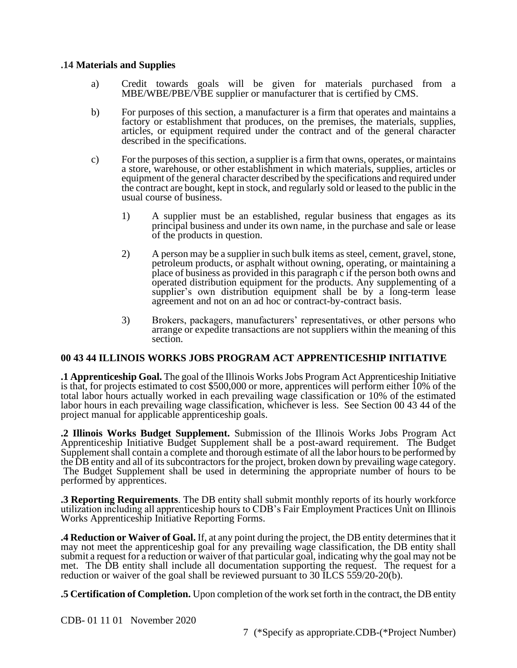#### **.14 Materials and Supplies**

- a) Credit towards goals will be given for materials purchased from a MBE/WBE/PBE/VBE supplier or manufacturer that is certified by CMS.
- b) For purposes of this section, a manufacturer is a firm that operates and maintains a factory or establishment that produces, on the premises, the materials, supplies, articles, or equipment required under the contract and of the general character described in the specifications.
- c) For the purposes of this section, a supplier is a firm that owns, operates, or maintains a store, warehouse, or other establishment in which materials, supplies, articles or equipment of the general character described by the specifications and required under the contract are bought, kept in stock, and regularly sold or leased to the public in the usual course of business.
	- 1) A supplier must be an established, regular business that engages as its principal business and under its own name, in the purchase and sale or lease of the products in question.
	- 2) A person may be a supplier in such bulk items as steel, cement, gravel, stone, petroleum products, or asphalt without owning, operating, or maintaining a place of business as provided in this paragraph c if the person both owns and operated distribution equipment for the products. Any supplementing of a supplier's own distribution equipment shall be by a long-term lease agreement and not on an ad hoc or contract-by-contract basis.
	- 3) Brokers, packagers, manufacturers' representatives, or other persons who arrange or expedite transactions are not suppliers within the meaning of this section.

### **00 43 44 ILLINOIS WORKS JOBS PROGRAM ACT APPRENTICESHIP INITIATIVE**

**.1 Apprenticeship Goal.** The goal of the Illinois Works Jobs Program Act Apprenticeship Initiative is that, for projects estimated to cost \$500,000 or more, apprentices will perform either  $10\%$  of the total labor hours actually worked in each prevailing wage classification or 10% of the estimated labor hours in each prevailing wage classification, whichever is less. See Section 00 43 44 of the project manual for applicable apprenticeship goals.

**.2 Illinois Works Budget Supplement.** Submission of the Illinois Works Jobs Program Act Apprenticeship Initiative Budget Supplement shall be a post-award requirement. The Budget Supplement shall contain a complete and thorough estimate of all the labor hours to be performed by the DB entity and all of its subcontractors for the project, broken down by prevailing wage category. The Budget Supplement shall be used in determining the appropriate number of hours to be performed by apprentices.

**.3 Reporting Requirements**. The DB entity shall submit monthly reports of its hourly workforce utilization including all apprenticeship hours to CDB's Fair Employment Practices Unit on Illinois Works Apprenticeship Initiative Reporting Forms.

**.4 Reduction or Waiver of Goal.** If, at any point during the project, the DB entity determines that it may not meet the apprenticeship goal for any prevailing wage classification, the DB entity shall submit a request for a reduction or waiver of that particular goal, indicating why the goal may not be met. The DB entity shall include all documentation supporting the request. The request for a reduction or waiver of the goal shall be reviewed pursuant to 30 ILCS 559/20-20(b).

**.5 Certification of Completion.** Upon completion of the work set forth in the contract, the DB entity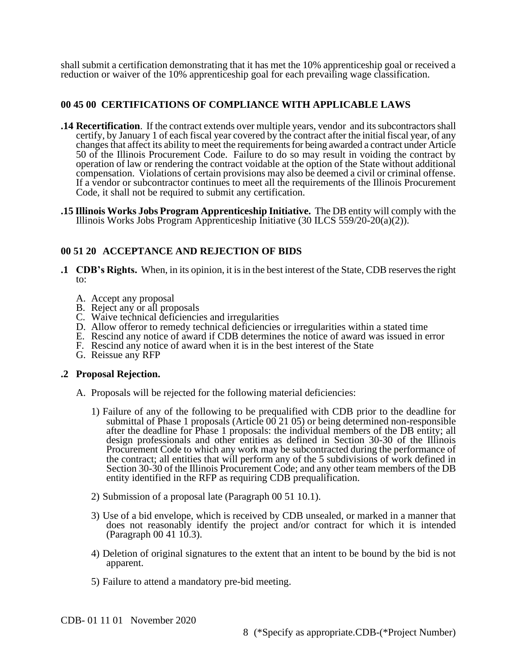shall submit a certification demonstrating that it has met the 10% apprenticeship goal or received a reduction or waiver of the 10% apprenticeship goal for each prevailing wage classification.

## **00 45 00 CERTIFICATIONS OF COMPLIANCE WITH APPLICABLE LAWS**

- **14 Recertification**. If the contract extends over multiple years, vendor and its subcontractors shall certify, by January 1 of each fiscal year covered by the contract after the initial fiscal year, of any changes that affect its ability to meet the requirements for being awarded a contract under Article 50 of the Illinois Procurement Code. Failure to do so may result in voiding the contract by operation of law or rendering the contract voidable at the option of the State without additional compensation. Violations of certain provisions may also be deemed a civil or criminal offense. If a vendor or subcontractor continues to meet all the requirements of the Illinois Procurement Code, it shall not be required to submit any certification.
- **.15 Illinois Works Jobs Program Apprenticeship Initiative.** The DB entity will comply with the Illinois Works Jobs Program Apprenticeship Initiative  $(30$  ILCS 559/20-20 $(a)(2)$ ).

## **00 51 20 ACCEPTANCE AND REJECTION OF BIDS**

- **.1 CDB's Rights.** When, in its opinion, it is in the best interest of the State, CDB reserves the right to:
	- A. Accept any proposal
	- B. Reject any or all proposals
	- C. Waive technical deficiencies and irregularities
	- D. Allow offeror to remedy technical deficiencies or irregularities within a stated time
	- E. Rescind any notice of award if CDB determines the notice of award was issued in error
	- F. Rescind any notice of award when it is in the best interest of the State
	- G. Reissue any RFP

### **.2 Proposal Rejection.**

- A. Proposals will be rejected for the following material deficiencies:
	- 1) Failure of any of the following to be prequalified with CDB prior to the deadline for submittal of Phase 1 proposals (Article 00 21 05) or being determined non-responsible after the deadline for Phase 1 proposals: the individual members of the DB entity; all design professionals and other entities as defined in Section 30-30 of the Illinois Procurement Code to which any work may be subcontracted during the performance of the contract; all entities that will perform any of the 5 subdivisions of work defined in Section 30-30 of the Illinois Procurement Code; and any other team members of the DB entity identified in the RFP as requiring CDB prequalification.
	- 2) Submission of a proposal late (Paragraph 00 51 10.1).
	- 3) Use of a bid envelope, which is received by CDB unsealed, or marked in a manner that does not reasonably identify the project and/or contract for which it is intended (Paragraph 00 41 10.3).
	- 4) Deletion of original signatures to the extent that an intent to be bound by the bid is not apparent.
	- 5) Failure to attend a mandatory pre-bid meeting.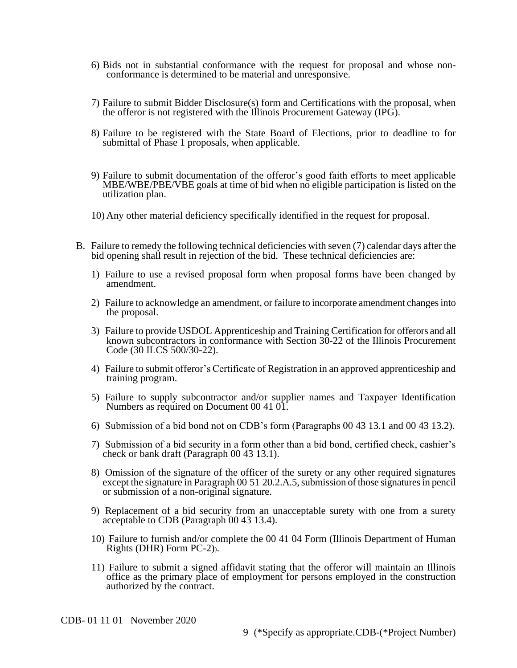- 6) Bids not in substantial conformance with the request for proposal and whose nonconformance is determined to be material and unresponsive.
- 7) Failure to submit Bidder Disclosure(s) form and Certifications with the proposal, when the offeror is not registered with the Illinois Procurement Gateway (IPG).
- 8) Failure to be registered with the State Board of Elections, prior to deadline to for submittal of Phase 1 proposals, when applicable.
- 9) Failure to submit documentation of the offeror's good faith efforts to meet applicable MBE/WBE/PBE/VBE goals at time of bid when no eligible participation is listed on the utilization plan.
- 10) Any other material deficiency specifically identified in the request for proposal.
- B. Failure to remedy the following technical deficiencies with seven (7) calendar days after the bid opening shall result in rejection of the bid. These technical deficiencies are:
	- 1) Failure to use a revised proposal form when proposal forms have been changed by amendment.
	- 2) Failure to acknowledge an amendment, or failure to incorporate amendment changes into the proposal.
	- 3) Failure to provide USDOL Apprenticeship and Training Certification for offerors and all known subcontractors in conformance with Section 30-22 of the Illinois Procurement Code (30 ILCS 500/30-22).
	- 4) Failure to submit offeror's Certificate of Registration in an approved apprenticeship and training program.
	- 5) Failure to supply subcontractor and/or supplier names and Taxpayer Identification Numbers as required on Document 00 41 01.
	- 6) Submission of a bid bond not on CDB's form (Paragraphs 00 43 13.1 and 00 43 13.2).
	- 7) Submission of a bid security in a form other than a bid bond, certified check, cashier's check or bank draft (Paragraph 00 43 13.1).
	- 8) Omission of the signature of the officer of the surety or any other required signatures except the signature in Paragraph 00 51 20.2.A.5, submission of those signatures in pencil or submission of a non-original signature.
	- 9) Replacement of a bid security from an unacceptable surety with one from a surety acceptable to CDB (Paragraph 00 43 13.4).
	- 10) Failure to furnish and/or complete the 00 41 04 Form (Illinois Department of Human Rights (DHR) Form PC-2)).
	- 11) Failure to submit a signed affidavit stating that the offeror will maintain an Illinois office as the primary place of employment for persons employed in the construction authorized by the contract.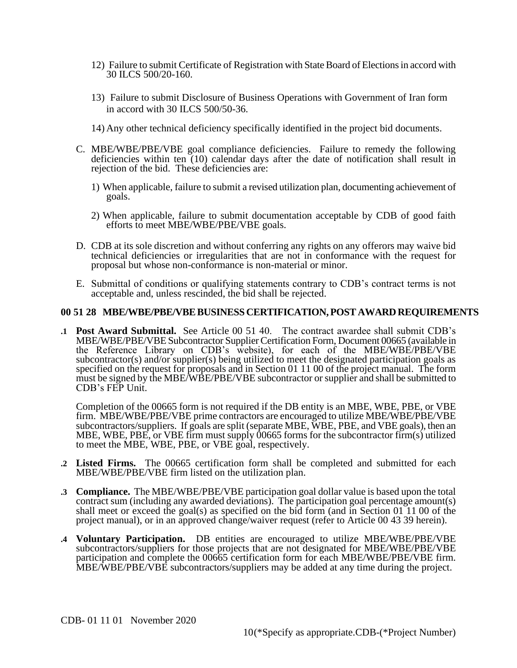- 12) Failure to submit Certificate of Registration with State Board of Elections in accord with 30 ILCS 500/20-160.
- 13) Failure to submit Disclosure of Business Operations with Government of Iran form in accord with 30 ILCS 500/50-36.
- 14) Any other technical deficiency specifically identified in the project bid documents.
- C. MBE/WBE/PBE/VBE goal compliance deficiencies. Failure to remedy the following deficiencies within ten (10) calendar days after the date of notification shall result in rejection of the bid. These deficiencies are:
	- 1) When applicable, failure to submit a revised utilization plan, documenting achievement of goals.
	- 2) When applicable, failure to submit documentation acceptable by CDB of good faith efforts to meet MBE/WBE/PBE/VBE goals.
- D. CDB at its sole discretion and without conferring any rights on any offerors may waive bid technical deficiencies or irregularities that are not in conformance with the request for proposal but whose non-conformance is non-material or minor.
- E. Submittal of conditions or qualifying statements contrary to CDB's contract terms is not acceptable and, unless rescinded, the bid shall be rejected.

#### **00 51 28 MBE/WBE/PBE/VBEBUSINESSCERTIFICATION, POST AWARD REQUIREMENTS**

**.1 Post Award Submittal.** See Article 00 51 40. The contract awardee shall submit CDB's MBE/WBE/PBE/VBE Subcontractor Supplier Certification Form, Document 00665 (available in the Reference Library on CDB's website), for each of the MBE/WBE/PBE/VBE subcontractor(s) and/or supplier(s) being utilized to meet the designated participation goals as specified on the request for proposals and in Section 01 11 00 of the project manual. The form must be signed by the MBE/WBE/PBE/VBE subcontractor or supplier and shall be submitted to CDB's FEP Unit.

Completion of the 00665 form is not required if the DB entity is an MBE, WBE, PBE, or VBE firm. MBE/WBE/PBE/VBE prime contractors are encouraged to utilize MBE/WBE/PBE/VBE subcontractors/suppliers. If goals are split (separate MBE, WBE, PBE, and VBE goals), then an MBE, WBE, PBE, or VBE firm must supply 00665 forms for the subcontractor firm(s) utilized to meet the MBE, WBE, PBE, or VBE goal, respectively.

- **.2 Listed Firms.** The 00665 certification form shall be completed and submitted for each MBE/WBE/PBE/VBE firm listed on the utilization plan.
- **.3 Compliance.** The MBE/WBE/PBE/VBE participation goal dollar value is based upon the total contract sum (including any awarded deviations). The participation goal percentage amount(s) shall meet or exceed the goal(s) as specified on the bid form (and in Section 01 11 00 of the project manual), or in an approved change/waiver request (refer to Article 00 43 39 herein).
- **.4 Voluntary Participation.** DB entities are encouraged to utilize MBE/WBE/PBE/VBE subcontractors/suppliers for those projects that are not designated for MBE/WBE/PBE/VBE participation and complete the 00665 certification form for each MBE/WBE/PBE/VBE firm. MBE/WBE/PBE/VBE subcontractors/suppliers may be added at any time during the project.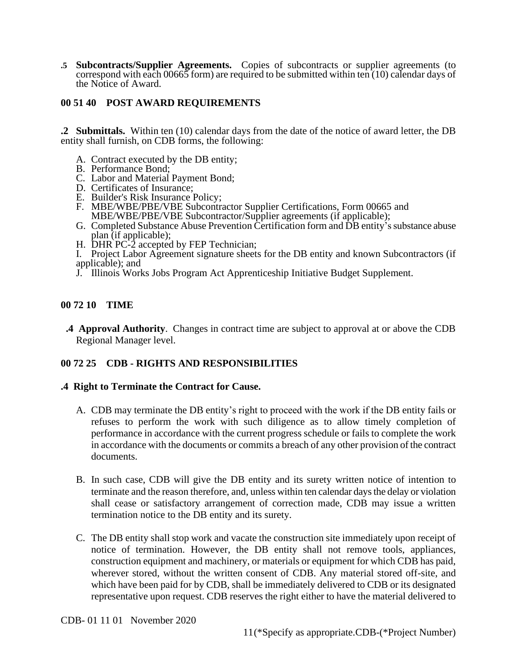**.5 Subcontracts/Supplier Agreements.** Copies of subcontracts or supplier agreements (to correspond with each 00665 form) are required to be submitted within ten  $(10)$  calendar days of the Notice of Award.

## **00 51 40 POST AWARD REQUIREMENTS**

**.2 Submittals.** Within ten (10) calendar days from the date of the notice of award letter, the DB entity shall furnish, on CDB forms, the following:

- A. Contract executed by the DB entity;
- B. Performance Bond;
- C. Labor and Material Payment Bond;
- D. Certificates of Insurance;
- E. Builder's Risk Insurance Policy;
- F. MBE/WBE/PBE/VBE Subcontractor Supplier Certifications, Form 00665 and MBE/WBE/PBE/VBE Subcontractor/Supplier agreements (if applicable);
- G. Completed Substance Abuse Prevention Certification form and DB entity's substance abuse plan (if applicable);
- H. DHR PC-2 accepted by FEP Technician;
- I. Project Labor Agreement signature sheets for the DB entity and known Subcontractors (if applicable); and
- J. Illinois Works Jobs Program Act Apprenticeship Initiative Budget Supplement.

### **00 72 10 TIME**

 **.4 Approval Authority**. Changes in contract time are subject to approval at or above the CDB Regional Manager level.

### **00 72 25 CDB - RIGHTS AND RESPONSIBILITIES**

### **.4 Right to Terminate the Contract for Cause.**

- A. CDB may terminate the DB entity's right to proceed with the work if the DB entity fails or refuses to perform the work with such diligence as to allow timely completion of performance in accordance with the current progress schedule or fails to complete the work in accordance with the documents or commits a breach of any other provision of the contract documents.
- B. In such case, CDB will give the DB entity and its surety written notice of intention to terminate and the reason therefore, and, unless within ten calendar days the delay or violation shall cease or satisfactory arrangement of correction made, CDB may issue a written termination notice to the DB entity and its surety.
- C. The DB entity shall stop work and vacate the construction site immediately upon receipt of notice of termination. However, the DB entity shall not remove tools, appliances, construction equipment and machinery, or materials or equipment for which CDB has paid, wherever stored, without the written consent of CDB. Any material stored off-site, and which have been paid for by CDB, shall be immediately delivered to CDB or its designated representative upon request. CDB reserves the right either to have the material delivered to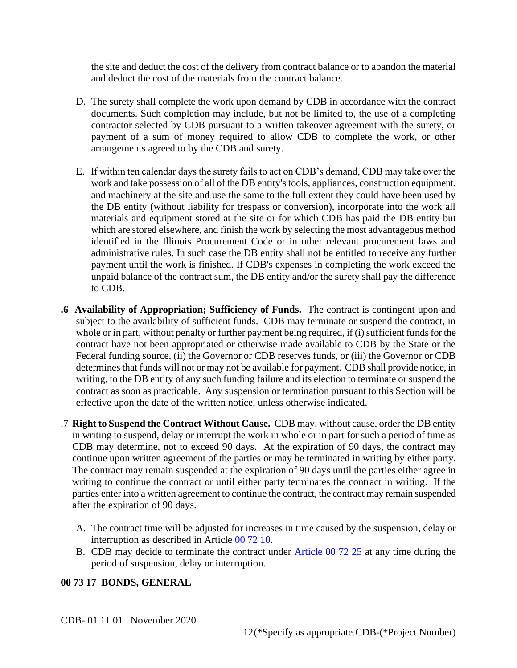the site and deduct the cost of the delivery from contract balance or to abandon the material and deduct the cost of the materials from the contract balance.

- D. The surety shall complete the work upon demand by CDB in accordance with the contract documents. Such completion may include, but not be limited to, the use of a completing contractor selected by CDB pursuant to a written takeover agreement with the surety, or payment of a sum of money required to allow CDB to complete the work, or other arrangements agreed to by the CDB and surety.
- E. If within ten calendar days the surety fails to act on CDB's demand, CDB may take over the work and take possession of all of the DB entity's tools, appliances, construction equipment, and machinery at the site and use the same to the full extent they could have been used by the DB entity (without liability for trespass or conversion), incorporate into the work all materials and equipment stored at the site or for which CDB has paid the DB entity but which are stored elsewhere, and finish the work by selecting the most advantageous method identified in the Illinois Procurement Code or in other relevant procurement laws and administrative rules. In such case the DB entity shall not be entitled to receive any further payment until the work is finished. If CDB's expenses in completing the work exceed the unpaid balance of the contract sum, the DB entity and/or the surety shall pay the difference to CDB.
- **.6 Availability of Appropriation; Sufficiency of Funds.** The contract is contingent upon and subject to the availability of sufficient funds. CDB may terminate or suspend the contract, in whole or in part, without penalty or further payment being required, if (i) sufficient funds for the contract have not been appropriated or otherwise made available to CDB by the State or the Federal funding source, (ii) the Governor or CDB reserves funds, or (iii) the Governor or CDB determines that funds will not or may not be available for payment. CDB shall provide notice, in writing, to the DB entity of any such funding failure and its election to terminate or suspend the contract as soon as practicable. Any suspension or termination pursuant to this Section will be effective upon the date of the written notice, unless otherwise indicated.
- .7 **Right to Suspend the Contract Without Cause.** CDB may, without cause, order the DB entity in writing to suspend, delay or interrupt the work in whole or in part for such a period of time as CDB may determine, not to exceed 90 days. At the expiration of 90 days, the contract may continue upon written agreement of the parties or may be terminated in writing by either party. The contract may remain suspended at the expiration of 90 days until the parties either agree in writing to continue the contract or until either party terminates the contract in writing. If the parties enter into a written agreement to continue the contract, the contract may remain suspended after the expiration of 90 days.
	- A. The contract time will be adjusted for increases in time caused by the suspension, delay or interruption as described in Article 00 72 10.
	- B. CDB may decide to terminate the contract under Article 00 72 25 at any time during the period of suspension, delay or interruption.

# **00 73 17 BONDS, GENERAL**